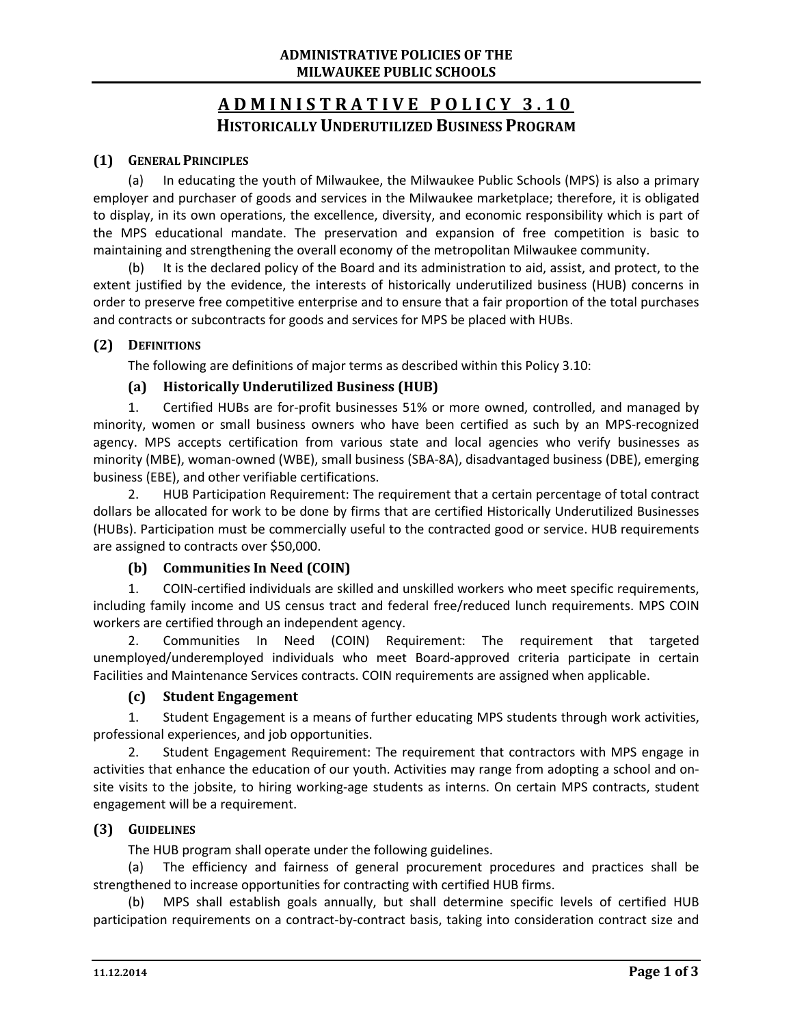# **ADMINISTRATIVE POLIC Y 3.10 HISTORICALLY UNDERUTILIZED BUSINESS PROGRAM**

## **(1) GENERAL PRINCIPLES**

(a) In educating the youth of Milwaukee, the Milwaukee Public Schools (MPS) is also a primary employer and purchaser of goods and services in the Milwaukee marketplace; therefore, it is obligated to display, in its own operations, the excellence, diversity, and economic responsibility which is part of the MPS educational mandate. The preservation and expansion of free competition is basic to maintaining and strengthening the overall economy of the metropolitan Milwaukee community.

(b) It is the declared policy of the Board and its administration to aid, assist, and protect, to the extent justified by the evidence, the interests of historically underutilized business (HUB) concerns in order to preserve free competitive enterprise and to ensure that a fair proportion of the total purchases and contracts or subcontracts for goods and services for MPS be placed with HUBs.

### **(2) DEFINITIONS**

The following are definitions of major terms as described within this Policy 3.10:

# **(a) Historically Underutilized Business (HUB)**

1. Certified HUBs are for-profit businesses 51% or more owned, controlled, and managed by minority, women or small business owners who have been certified as such by an MPS-recognized agency. MPS accepts certification from various state and local agencies who verify businesses as minority (MBE), woman-owned (WBE), small business (SBA-8A), disadvantaged business (DBE), emerging business (EBE), and other verifiable certifications.

2. HUB Participation Requirement: The requirement that a certain percentage of total contract dollars be allocated for work to be done by firms that are certified Historically Underutilized Businesses (HUBs). Participation must be commercially useful to the contracted good or service. HUB requirements are assigned to contracts over \$50,000.

# **(b) Communities In Need (COIN)**

1. COIN-certified individuals are skilled and unskilled workers who meet specific requirements, including family income and US census tract and federal free/reduced lunch requirements. MPS COIN workers are certified through an independent agency.

2. Communities In Need (COIN) Requirement: The requirement that targeted unemployed/underemployed individuals who meet Board-approved criteria participate in certain Facilities and Maintenance Services contracts. COIN requirements are assigned when applicable.

#### **(c) Student Engagement**

1. Student Engagement is a means of further educating MPS students through work activities, professional experiences, and job opportunities.

2. Student Engagement Requirement: The requirement that contractors with MPS engage in activities that enhance the education of our youth. Activities may range from adopting a school and onsite visits to the jobsite, to hiring working-age students as interns. On certain MPS contracts, student engagement will be a requirement.

#### **(3) GUIDELINES**

The HUB program shall operate under the following guidelines.

(a) The efficiency and fairness of general procurement procedures and practices shall be strengthened to increase opportunities for contracting with certified HUB firms.

(b) MPS shall establish goals annually, but shall determine specific levels of certified HUB participation requirements on a contract-by-contract basis, taking into consideration contract size and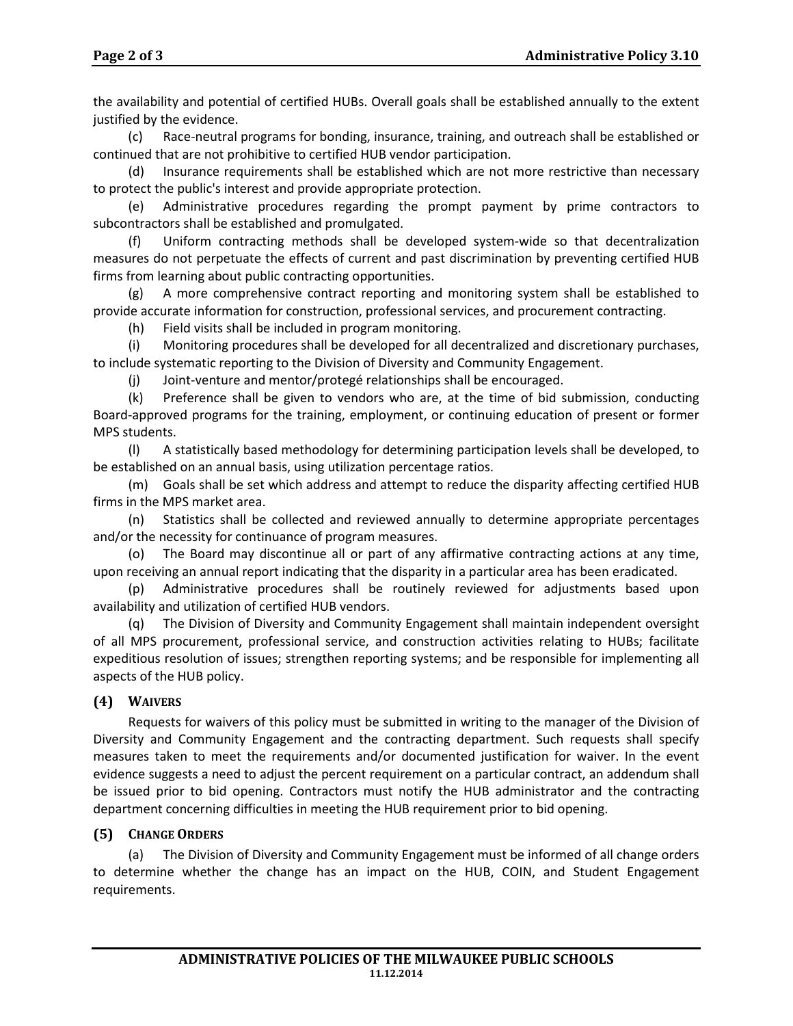the availability and potential of certified HUBs. Overall goals shall be established annually to the extent justified by the evidence.

(c) Race-neutral programs for bonding, insurance, training, and outreach shall be established or continued that are not prohibitive to certified HUB vendor participation.

(d) Insurance requirements shall be established which are not more restrictive than necessary to protect the public's interest and provide appropriate protection.

(e) Administrative procedures regarding the prompt payment by prime contractors to subcontractors shall be established and promulgated.

(f) Uniform contracting methods shall be developed system-wide so that decentralization measures do not perpetuate the effects of current and past discrimination by preventing certified HUB firms from learning about public contracting opportunities.

(g) A more comprehensive contract reporting and monitoring system shall be established to provide accurate information for construction, professional services, and procurement contracting.

(h) Field visits shall be included in program monitoring.

(i) Monitoring procedures shall be developed for all decentralized and discretionary purchases, to include systematic reporting to the Division of Diversity and Community Engagement.

(j) Joint-venture and mentor/protegé relationships shall be encouraged.

(k) Preference shall be given to vendors who are, at the time of bid submission, conducting Board-approved programs for the training, employment, or continuing education of present or former MPS students.

(l) A statistically based methodology for determining participation levels shall be developed, to be established on an annual basis, using utilization percentage ratios.

(m) Goals shall be set which address and attempt to reduce the disparity affecting certified HUB firms in the MPS market area.

(n) Statistics shall be collected and reviewed annually to determine appropriate percentages and/or the necessity for continuance of program measures.

(o) The Board may discontinue all or part of any affirmative contracting actions at any time, upon receiving an annual report indicating that the disparity in a particular area has been eradicated.

(p) Administrative procedures shall be routinely reviewed for adjustments based upon availability and utilization of certified HUB vendors.

(q) The Division of Diversity and Community Engagement shall maintain independent oversight of all MPS procurement, professional service, and construction activities relating to HUBs; facilitate expeditious resolution of issues; strengthen reporting systems; and be responsible for implementing all aspects of the HUB policy.

# **(4) WAIVERS**

Requests for waivers of this policy must be submitted in writing to the manager of the Division of Diversity and Community Engagement and the contracting department. Such requests shall specify measures taken to meet the requirements and/or documented justification for waiver. In the event evidence suggests a need to adjust the percent requirement on a particular contract, an addendum shall be issued prior to bid opening. Contractors must notify the HUB administrator and the contracting department concerning difficulties in meeting the HUB requirement prior to bid opening.

# **(5) CHANGE ORDERS**

(a) The Division of Diversity and Community Engagement must be informed of all change orders to determine whether the change has an impact on the HUB, COIN, and Student Engagement requirements.